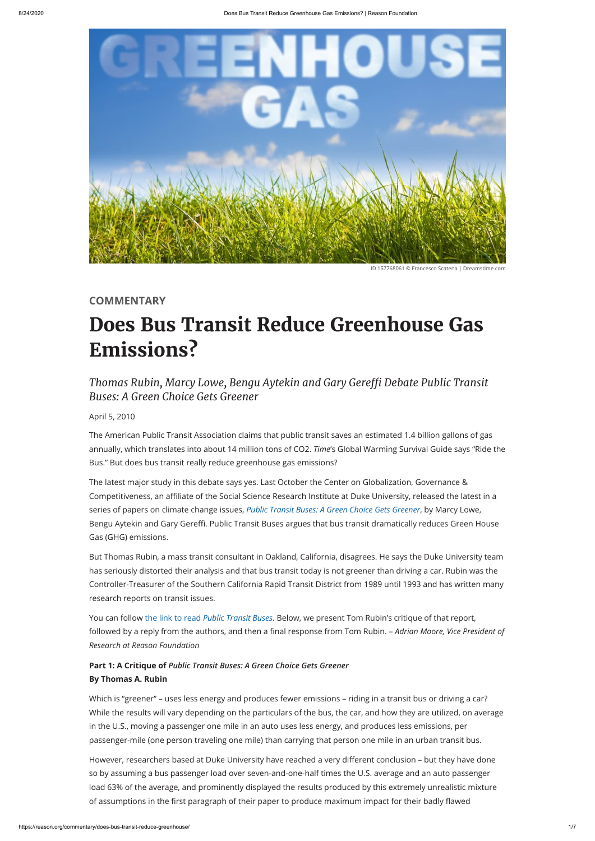

ID 157768061 © Francesco Scatena | Dreamstime.com

**[COMMENTARY](https://reason.org/commentary)**

# **Does Bus Transit Reduce [Greenhouse](https://reason.org/commentary/does-bus-transit-reduce-greenhouse/) Gas Emissions?**

## *Thomas Rubin, Marcy Lowe, Bengu Aytekin and Gary Gere Debate Public Transit Buses: A Green Choice Gets Greener*

April 5, 2010

The American Public Transit Association claims that public transit saves an estimated 1.4 billion gallons of gas annually, which translates into about 14 million tons of CO2. *Time*'s Global Warming Survival Guide says "Ride the Bus." But does bus transit really reduce greenhouse gas emissions?

You can follow the link to read *[Public Transit Buses](http://www.cggc.duke.edu/environment/climatesolutions/greeneconomy_Ch12_TransitBus.pdf)*. Below, we present Tom Rubin's critique of that report, followed by a reply from the authors, and then a final response from Tom Rubin. – *Adrian Moore, Vice President of* 

The latest major study in this debate says yes. Last October the Center on Globalization, Governance & Competitiveness, an affiliate of the Social Science Research Institute at Duke University, released the latest in a series of papers on climate change issues, *[Public Transit Buses: A Green Choice Gets Greener](http://www.cggc.duke.edu/environment/climatesolutions/greeneconomy_Ch12_TransitBus.pdf)*, by Marcy Lowe, Bengu Aytekin and Gary Gereffi. Public Transit Buses argues that bus transit dramatically reduces Green House Gas (GHG) emissions.

But Thomas Rubin, a mass transit consultant in Oakland, California, disagrees. He says the Duke University team has seriously distorted their analysis and that bus transit today is not greener than driving a car. Rubin was the Controller-Treasurer of the Southern California Rapid Transit District from 1989 until 1993 and has written many research reports on transit issues.

## *Research at Reason Foundation*

### **Part 1: A Critique of** *Public Transit Buses: A Green Choice Gets Greener* **By Thomas A. Rubin**

Which is "greener" – uses less energy and produces fewer emissions – riding in a transit bus or driving a car? While the results will vary depending on the particulars of the bus, the car, and how they are utilized, on average in the U.S., moving a passenger one mile in an auto uses less energy, and produces less emissions, per passenger-mile (one person traveling one mile) than carrying that person one mile in an urban transit bus.

However, researchers based at Duke University have reached a very different conclusion - but they have done so by assuming a bus passenger load over seven-and-one-half times the U.S. average and an auto passenger load 63% of the average, and prominently displayed the results produced by this extremely unrealistic mixture of assumptions in the first paragraph of their paper to produce maximum impact for their badly flawed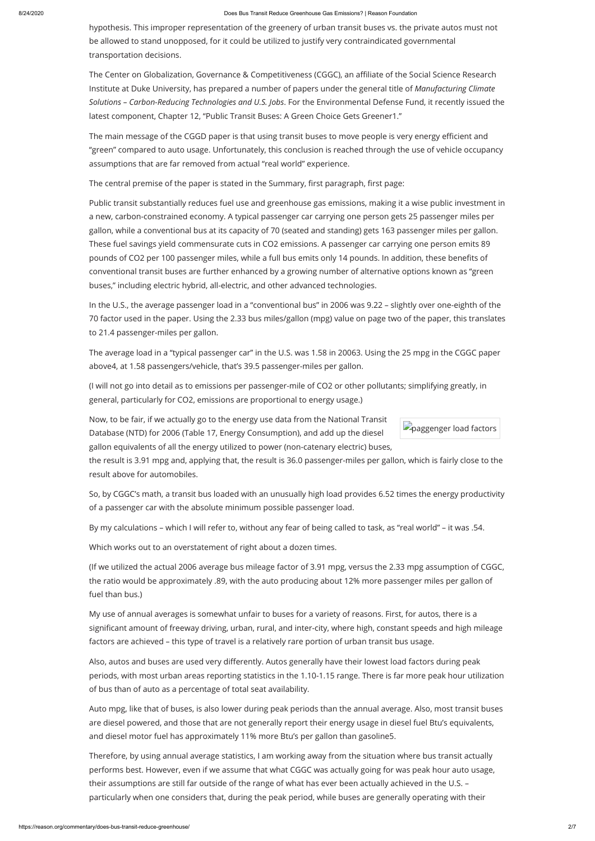#### 8/24/2020 Does Bus Transit Reduce Greenhouse Gas Emissions? | Reason Foundation

paggenger load factors

hypothesis. This improper representation of the greenery of urban transit buses vs. the private autos must not be allowed to stand unopposed, for it could be utilized to justify very contraindicated governmental transportation decisions.

The Center on Globalization, Governance & Competitiveness (CGGC), an affiliate of the Social Science Research Institute at Duke University, has prepared a number of papers under the general title of *Manufacturing Climate Solutions – Carbon-Reducing Technologies and U.S. Jobs*. For the Environmental Defense Fund, it recently issued the latest component, Chapter 12, "Public Transit Buses: A Green Choice Gets Greener1."

The main message of the CGGD paper is that using transit buses to move people is very energy efficient and "green" compared to auto usage. Unfortunately, this conclusion is reached through the use of vehicle occupancy assumptions that are far removed from actual "real world" experience.

The central premise of the paper is stated in the Summary, first paragraph, first page:

Public transit substantially reduces fuel use and greenhouse gas emissions, making it a wise public investment in a new, carbon-constrained economy. A typical passenger car carrying one person gets 25 passenger miles per gallon, while a conventional bus at its capacity of 70 (seated and standing) gets 163 passenger miles per gallon. These fuel savings yield commensurate cuts in CO2 emissions. A passenger car carrying one person emits 89 pounds of CO2 per 100 passenger miles, while a full bus emits only 14 pounds. In addition, these benefits of conventional transit buses are further enhanced by a growing number of alternative options known as "green buses," including electric hybrid, all-electric, and other advanced technologies.

My use of annual averages is somewhat unfair to buses for a variety of reasons. First, for autos, there is a significant amount of freeway driving, urban, rural, and inter-city, where high, constant speeds and high mileage

In the U.S., the average passenger load in a "conventional bus" in 2006 was 9.22 – slightly over one-eighth of the 70 factor used in the paper. Using the 2.33 bus miles/gallon (mpg) value on page two of the paper, this translates to 21.4 passenger-miles per gallon.

Also, autos and buses are used very differently. Autos generally have their lowest load factors during peak periods, with most urban areas reporting statistics in the 1.10-1.15 range. There is far more peak hour utilization of bus than of auto as a percentage of total seat availability.

The average load in a "typical passenger car" in the U.S. was 1.58 in 20063. Using the 25 mpg in the CGGC paper above4, at 1.58 passengers/vehicle, that's 39.5 passenger-miles per gallon.

(I will not go into detail as to emissions per passenger-mile of CO2 or other pollutants; simplifying greatly, in general, particularly for CO2, emissions are proportional to energy usage.)

Now, to be fair, if we actually go to the energy use data from the National Transit Database (NTD) for 2006 (Table 17, Energy Consumption), and add up the diesel gallon equivalents of all the energy utilized to power (non-catenary electric) buses,

the result is 3.91 mpg and, applying that, the result is 36.0 passenger-miles per gallon, which is fairly close to the result above for automobiles.

So, by CGGC's math, a transit bus loaded with an unusually high load provides 6.52 times the energy productivity of a passenger car with the absolute minimum possible passenger load.

By my calculations – which I will refer to, without any fear of being called to task, as "real world" – it was .54.

Which works out to an overstatement of right about a dozen times.

(If we utilized the actual 2006 average bus mileage factor of 3.91 mpg, versus the 2.33 mpg assumption of CGGC, the ratio would be approximately .89, with the auto producing about 12% more passenger miles per gallon of fuel than bus.)

factors are achieved – this type of travel is a relatively rare portion of urban transit bus usage.

Auto mpg, like that of buses, is also lower during peak periods than the annual average. Also, most transit buses are diesel powered, and those that are not generally report their energy usage in diesel fuel Btu's equivalents, and diesel motor fuel has approximately 11% more Btu's per gallon than gasoline5.

Therefore, by using annual average statistics, I am working away from the situation where bus transit actually performs best. However, even if we assume that what CGGC was actually going for was peak hour auto usage, their assumptions are still far outside of the range of what has ever been actually achieved in the U.S. – particularly when one considers that, during the peak period, while buses are generally operating with their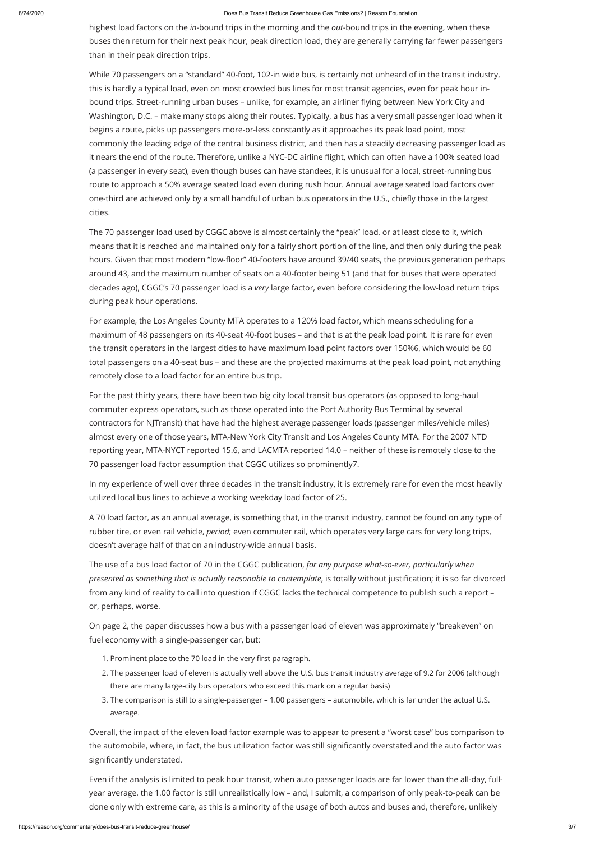#### 8/24/2020 Does Bus Transit Reduce Greenhouse Gas Emissions? | Reason Foundation

highest load factors on the *in*-bound trips in the morning and the *out*-bound trips in the evening, when these buses then return for their next peak hour, peak direction load, they are generally carrying far fewer passengers than in their peak direction trips.

While 70 passengers on a "standard" 40-foot, 102-in wide bus, is certainly not unheard of in the transit industry, this is hardly a typical load, even on most crowded bus lines for most transit agencies, even for peak hour inbound trips. Street-running urban buses - unlike, for example, an airliner flying between New York City and Washington, D.C. – make many stops along their routes. Typically, a bus has a very small passenger load when it begins a route, picks up passengers more-or-less constantly as it approaches its peak load point, most commonly the leading edge of the central business district, and then has a steadily decreasing passenger load as it nears the end of the route. Therefore, unlike a NYC-DC airline flight, which can often have a 100% seated load (a passenger in every seat), even though buses can have standees, it is unusual for a local, street-running bus route to approach a 50% average seated load even during rush hour. Annual average seated load factors over one-third are achieved only by a small handful of urban bus operators in the U.S., chiefly those in the largest cities.

The 70 passenger load used by CGGC above is almost certainly the "peak" load, or at least close to it, which means that it is reached and maintained only for a fairly short portion of the line, and then only during the peak hours. Given that most modern "low-floor" 40-footers have around 39/40 seats, the previous generation perhaps around 43, and the maximum number of seats on a 40-footer being 51 (and that for buses that were operated decades ago), CGGC's 70 passenger load is a *very* large factor, even before considering the low-load return trips during peak hour operations.

- 1. Prominent place to the 70 load in the very first paragraph.
- 2. The passenger load of eleven is actually well above the U.S. bus transit industry average of 9.2 for 2006 (although there are many large-city bus operators who exceed this mark on a regular basis)
- 3. The comparison is still to a single-passenger 1.00 passengers automobile, which is far under the actual U.S. average.

Overall, the impact of the eleven load factor example was to appear to present a "worst case" bus comparison to the automobile, where, in fact, the bus utilization factor was still significantly overstated and the auto factor was significantly understated.

For example, the Los Angeles County MTA operates to a 120% load factor, which means scheduling for a maximum of 48 passengers on its 40-seat 40-foot buses – and that is at the peak load point. It is rare for even the transit operators in the largest cities to have maximum load point factors over 150%6, which would be 60 total passengers on a 40-seat bus – and these are the projected maximums at the peak load point, not anything remotely close to a load factor for an entire bus trip.

For the past thirty years, there have been two big city local transit bus operators (as opposed to long-haul commuter express operators, such as those operated into the Port Authority Bus Terminal by several contractors for NJTransit) that have had the highest average passenger loads (passenger miles/vehicle miles) almost every one of those years, MTA-New York City Transit and Los Angeles County MTA. For the 2007 NTD reporting year, MTA-NYCT reported 15.6, and LACMTA reported 14.0 – neither of these is remotely close to the 70 passenger load factor assumption that CGGC utilizes so prominently7.

In my experience of well over three decades in the transit industry, it is extremely rare for even the most heavily utilized local bus lines to achieve a working weekday load factor of 25.

A 70 load factor, as an annual average, is something that, in the transit industry, cannot be found on any type of rubber tire, or even rail vehicle, *period*; even commuter rail, which operates very large cars for very long trips, doesn't average half of that on an industry-wide annual basis.

The use of a bus load factor of 70 in the CGGC publication, *for any purpose what-so-ever, particularly when presented as something that is actually reasonable to contemplate*, is totally without justification; it is so far divorced from any kind of reality to call into question if CGGC lacks the technical competence to publish such a report – or, perhaps, worse.

On page 2, the paper discusses how a bus with a passenger load of eleven was approximately "breakeven" on

fuel economy with a single-passenger car, but:

Even if the analysis is limited to peak hour transit, when auto passenger loads are far lower than the all-day, fullyear average, the 1.00 factor is still unrealistically low – and, I submit, a comparison of only peak-to-peak can be done only with extreme care, as this is a minority of the usage of both autos and buses and, therefore, unlikely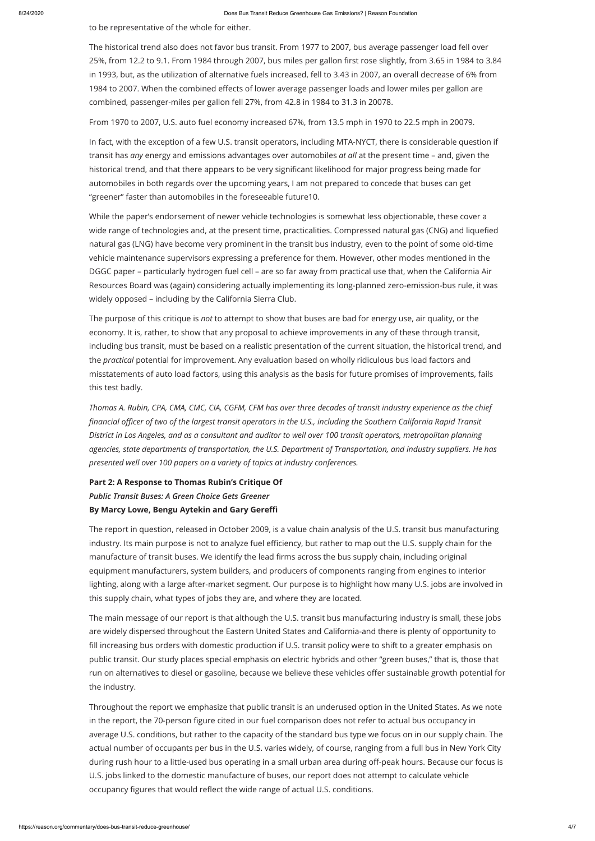to be representative of the whole for either.

The historical trend also does not favor bus transit. From 1977 to 2007, bus average passenger load fell over 25%, from 12.2 to 9.1. From 1984 through 2007, bus miles per gallon first rose slightly, from 3.65 in 1984 to 3.84 in 1993, but, as the utilization of alternative fuels increased, fell to 3.43 in 2007, an overall decrease of 6% from 1984 to 2007. When the combined effects of lower average passenger loads and lower miles per gallon are combined, passenger-miles per gallon fell 27%, from 42.8 in 1984 to 31.3 in 20078.

From 1970 to 2007, U.S. auto fuel economy increased 67%, from 13.5 mph in 1970 to 22.5 mph in 20079.

In fact, with the exception of a few U.S. transit operators, including MTA-NYCT, there is considerable question if transit has *any* energy and emissions advantages over automobiles *at all* at the present time – and, given the historical trend, and that there appears to be very significant likelihood for major progress being made for automobiles in both regards over the upcoming years, I am not prepared to concede that buses can get "greener" faster than automobiles in the foreseeable future10.

While the paper's endorsement of newer vehicle technologies is somewhat less objectionable, these cover a wide range of technologies and, at the present time, practicalities. Compressed natural gas (CNG) and liquefied natural gas (LNG) have become very prominent in the transit bus industry, even to the point of some old-time vehicle maintenance supervisors expressing a preference for them. However, other modes mentioned in the DGGC paper – particularly hydrogen fuel cell – are so far away from practical use that, when the California Air Resources Board was (again) considering actually implementing its long-planned zero-emission-bus rule, it was widely opposed – including by the California Sierra Club.

fill increasing bus orders with domestic production if U.S. transit policy were to shift to a greater emphasis on public transit. Our study places special emphasis on electric hybrids and other "green buses," that is, those that run on alternatives to diesel or gasoline, because we believe these vehicles offer sustainable growth potential for the industry.

Throughout the report we emphasize that public transit is an underused option in the United States. As we note in the report, the 70-person figure cited in our fuel comparison does not refer to actual bus occupancy in average U.S. conditions, but rather to the capacity of the standard bus type we focus on in our supply chain. The actual number of occupants per bus in the U.S. varies widely, of course, ranging from a full bus in New York City during rush hour to a little-used bus operating in a small urban area during off-peak hours. Because our focus is U.S. jobs linked to the domestic manufacture of buses, our report does not attempt to calculate vehicle occupancy figures that would reflect the wide range of actual U.S. conditions.

The purpose of this critique is *not* to attempt to show that buses are bad for energy use, air quality, or the economy. It is, rather, to show that any proposal to achieve improvements in any of these through transit, including bus transit, must be based on a realistic presentation of the current situation, the historical trend, and the *practical* potential for improvement. Any evaluation based on wholly ridiculous bus load factors and misstatements of auto load factors, using this analysis as the basis for future promises of improvements, fails this test badly.

*Thomas A. Rubin, CPA, CMA, CMC, CIA, CGFM, CFM has over three decades of transit industry experience as the chief financial officer of two of the largest transit operators in the U.S., including the Southern California Rapid Transit District in Los Angeles, and as a consultant and auditor to well over 100 transit operators, metropolitan planning agencies, state departments of transportation, the U.S. Department of Transportation, and industry suppliers. He has presented well over 100 papers on a variety of topics at industry conferences.*

**Part 2: A Response to Thomas Rubin's Critique Of** *Public Transit Buses: A Green Choice Gets Greener* **By Marcy Lowe, Bengu Aytekin and Gary Gereffi**

The report in question, released in October 2009, is a value chain analysis of the U.S. transit bus manufacturing industry. Its main purpose is not to analyze fuel efficiency, but rather to map out the U.S. supply chain for the manufacture of transit buses. We identify the lead firms across the bus supply chain, including original equipment manufacturers, system builders, and producers of components ranging from engines to interior lighting, along with a large after-market segment. Our purpose is to highlight how many U.S. jobs are involved in this supply chain, what types of jobs they are, and where they are located.

The main message of our report is that although the U.S. transit bus manufacturing industry is small, these jobs are widely dispersed throughout the Eastern United States and California-and there is plenty of opportunity to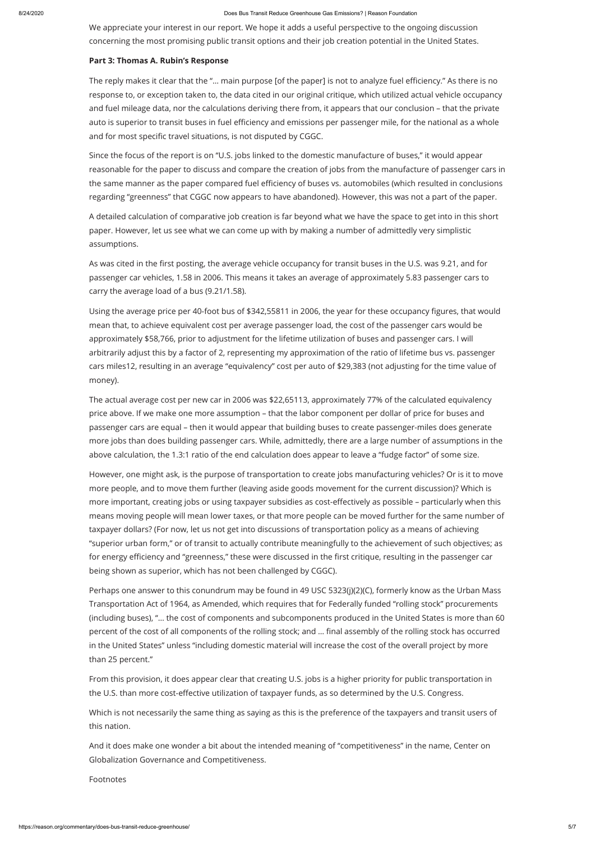We appreciate your interest in our report. We hope it adds a useful perspective to the ongoing discussion concerning the most promising public transit options and their job creation potential in the United States.

#### **Part 3: Thomas A. Rubin's Response**

The reply makes it clear that the "... main purpose [of the paper] is not to analyze fuel efficiency." As there is no response to, or exception taken to, the data cited in our original critique, which utilized actual vehicle occupancy and fuel mileage data, nor the calculations deriving there from, it appears that our conclusion – that the private auto is superior to transit buses in fuel efficiency and emissions per passenger mile, for the national as a whole and for most specific travel situations, is not disputed by CGGC.

As was cited in the first posting, the average vehicle occupancy for transit buses in the U.S. was 9.21, and for passenger car vehicles, 1.58 in 2006. This means it takes an average of approximately 5.83 passenger cars to carry the average load of a bus (9.21/1.58).

Since the focus of the report is on "U.S. jobs linked to the domestic manufacture of buses," it would appear reasonable for the paper to discuss and compare the creation of jobs from the manufacture of passenger cars in the same manner as the paper compared fuel efficiency of buses vs. automobiles (which resulted in conclusions regarding "greenness" that CGGC now appears to have abandoned). However, this was not a part of the paper.

Using the average price per 40-foot bus of \$342,55811 in 2006, the year for these occupancy figures, that would mean that, to achieve equivalent cost per average passenger load, the cost of the passenger cars would be approximately \$58,766, prior to adjustment for the lifetime utilization of buses and passenger cars. I will arbitrarily adjust this by a factor of 2, representing my approximation of the ratio of lifetime bus vs. passenger cars miles12, resulting in an average "equivalency" cost per auto of \$29,383 (not adjusting for the time value of money).

A detailed calculation of comparative job creation is far beyond what we have the space to get into in this short paper. However, let us see what we can come up with by making a number of admittedly very simplistic assumptions.

From this provision, it does appear clear that creating U.S. jobs is a higher priority for public transportation in the U.S. than more cost-effective utilization of taxpayer funds, as so determined by the U.S. Congress.

The actual average cost per new car in 2006 was \$22,65113, approximately 77% of the calculated equivalency price above. If we make one more assumption – that the labor component per dollar of price for buses and passenger cars are equal – then it would appear that building buses to create passenger-miles does generate more jobs than does building passenger cars. While, admittedly, there are a large number of assumptions in the above calculation, the 1.3:1 ratio of the end calculation does appear to leave a "fudge factor" of some size.

However, one might ask, is the purpose of transportation to create jobs manufacturing vehicles? Or is it to move more people, and to move them further (leaving aside goods movement for the current discussion)? Which is more important, creating jobs or using taxpayer subsidies as cost-effectively as possible – particularly when this means moving people will mean lower taxes, or that more people can be moved further for the same number of taxpayer dollars? (For now, let us not get into discussions of transportation policy as a means of achieving "superior urban form," or of transit to actually contribute meaningfully to the achievement of such objectives; as for energy efficiency and "greenness," these were discussed in the first critique, resulting in the passenger car being shown as superior, which has not been challenged by CGGC).

Perhaps one answer to this conundrum may be found in 49 USC 5323(j)(2)(C), formerly know as the Urban Mass Transportation Act of 1964, as Amended, which requires that for Federally funded "rolling stock" procurements (including buses), "… the cost of components and subcomponents produced in the United States is more than 60 percent of the cost of all components of the rolling stock; and … final assembly of the rolling stock has occurred in the United States" unless "including domestic material will increase the cost of the overall project by more than 25 percent."

Which is not necessarily the same thing as saying as this is the preference of the taxpayers and transit users of this nation.

And it does make one wonder a bit about the intended meaning of "competitiveness" in the name, Center on Globalization Governance and Competitiveness.

Footnotes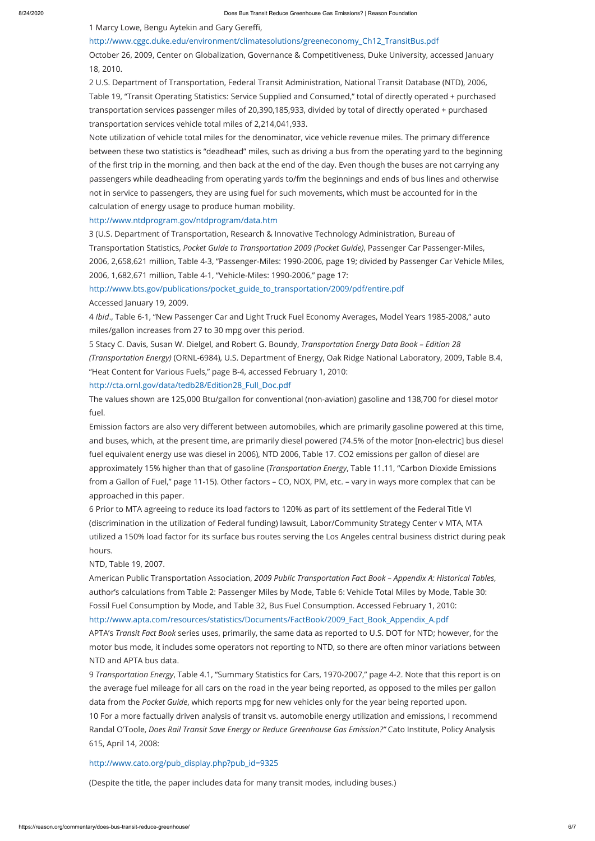1 Marcy Lowe, Bengu Aytekin and Gary Gereffi,

#### [http://www.cggc.duke.edu/environment/climatesolutions/greeneconomy\\_Ch12\\_TransitBus.pdf](http://www.cggc.duke.edu/environment/climatesolutions/greeneconomy_Ch12_TransitBus.pdf)

October 26, 2009, Center on Globalization, Governance & Competitiveness, Duke University, accessed January 18, 2010.

2 U.S. Department of Transportation, Federal Transit Administration, National Transit Database (NTD), 2006, Table 19, "Transit Operating Statistics: Service Supplied and Consumed," total of directly operated + purchased transportation services passenger miles of 20,390,185,933, divided by total of directly operated + purchased transportation services vehicle total miles of 2,214,041,933.

Note utilization of vehicle total miles for the denominator, vice vehicle revenue miles. The primary difference between these two statistics is "deadhead" miles, such as driving a bus from the operating yard to the beginning of the first trip in the morning, and then back at the end of the day. Even though the buses are not carrying any passengers while deadheading from operating yards to/fm the beginnings and ends of bus lines and otherwise not in service to passengers, they are using fuel for such movements, which must be accounted for in the calculation of energy usage to produce human mobility.

#### <http://www.ntdprogram.gov/ntdprogram/data.htm>

Emission factors are also very different between automobiles, which are primarily gasoline powered at this time, and buses, which, at the present time, are primarily diesel powered (74.5% of the motor [non-electric] bus diesel fuel equivalent energy use was diesel in 2006), NTD 2006, Table 17. CO2 emissions per gallon of diesel are approximately 15% higher than that of gasoline (*Transportation Energy*, Table 11.11, "Carbon Dioxide Emissions from a Gallon of Fuel," page 11-15). Other factors – CO, NOX, PM, etc. – vary in ways more complex that can be approached in this paper.

3 (U.S. Department of Transportation, Research & Innovative Technology Administration, Bureau of Transportation Statistics, *Pocket Guide to Transportation 2009 (Pocket Guide)*, Passenger Car Passenger-Miles, 2006, 2,658,621 million, Table 4-3, "Passenger-Miles: 1990-2006, page 19; divided by Passenger Car Vehicle Miles, 2006, 1,682,671 million, Table 4-1, "Vehicle-Miles: 1990-2006," page 17:

[http://www.bts.gov/publications/pocket\\_guide\\_to\\_transportation/2009/pdf/entire.pdf](http://www.bts.gov/publications/pocket_guide_to_transportation/2009/pdf/entire.pdf)

Accessed January 19, 2009.

4 *Ibid*., Table 6-1, "New Passenger Car and Light Truck Fuel Economy Averages, Model Years 1985-2008," auto miles/gallon increases from 27 to 30 mpg over this period.

5 Stacy C. Davis, Susan W. Dielgel, and Robert G. Boundy, *Transportation Energy Data Book – Edition 28 (Transportation Energy)* (ORNL-6984), U.S. Department of Energy, Oak Ridge National Laboratory, 2009, Table B.4, "Heat Content for Various Fuels," page B-4, accessed February 1, 2010:

#### [http://cta.ornl.gov/data/tedb28/Edition28\\_Full\\_Doc.pdf](http://cta.ornl.gov/data/tedb28/Edition28_Full_Doc.pdf)

The values shown are 125,000 Btu/gallon for conventional (non-aviation) gasoline and 138,700 for diesel motor fuel.

6 Prior to MTA agreeing to reduce its load factors to 120% as part of its settlement of the Federal Title VI (discrimination in the utilization of Federal funding) lawsuit, Labor/Community Strategy Center v MTA, MTA utilized a 150% load factor for its surface bus routes serving the Los Angeles central business district during peak hours.

#### NTD, Table 19, 2007.

American Public Transportation Association, *2009 Public Transportation Fact Book – Appendix A: Historical Tables*, author's calculations from Table 2: Passenger Miles by Mode, Table 6: Vehicle Total Miles by Mode, Table 30: Fossil Fuel Consumption by Mode, and Table 32, Bus Fuel Consumption. Accessed February 1, 2010: [http://www.apta.com/resources/statistics/Documents/FactBook/2009\\_Fact\\_Book\\_Appendix\\_A.pdf](http://www.apta.com/resources/statistics/Documents/FactBook/2009_Fact_Book_Appendix_A.pdf)

APTA's *Transit Fact Book* series uses, primarily, the same data as reported to U.S. DOT for NTD; however, for the motor bus mode, it includes some operators not reporting to NTD, so there are often minor variations between NTD and APTA bus data.

9 *Transportation Energy*, Table 4.1, "Summary Statistics for Cars, 1970-2007," page 4-2. Note that this report is on the average fuel mileage for all cars on the road in the year being reported, as opposed to the miles per gallon data from the *Pocket Guide*, which reports mpg for new vehicles only for the year being reported upon. 10 For a more factually driven analysis of transit vs. automobile energy utilization and emissions, I recommend Randal O'Toole, *Does Rail Transit Save Energy or Reduce Greenhouse Gas Emission?"* Cato Institute, Policy Analysis 615, April 14, 2008:

[http://www.cato.org/pub\\_display.php?pub\\_id=9325](http://www.cato.org/pub_display.php?pub_id=9325)

(Despite the title, the paper includes data for many transit modes, including buses.)